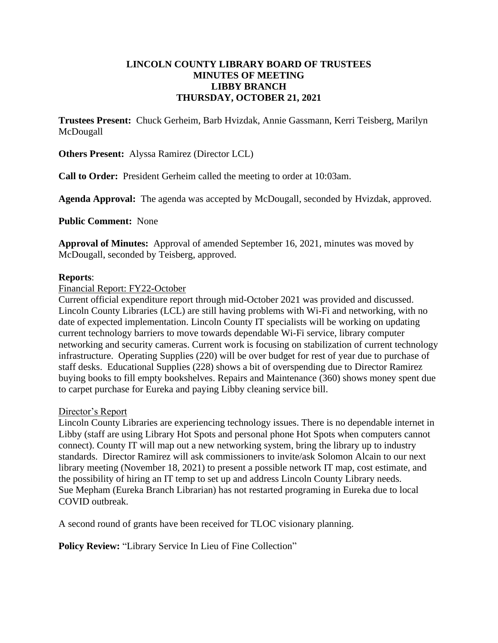#### **LINCOLN COUNTY LIBRARY BOARD OF TRUSTEES MINUTES OF MEETING LIBBY BRANCH THURSDAY, OCTOBER 21, 2021**

**Trustees Present:** Chuck Gerheim, Barb Hvizdak, Annie Gassmann, Kerri Teisberg, Marilyn McDougall

**Others Present:** Alyssa Ramirez (Director LCL)

**Call to Order:** President Gerheim called the meeting to order at 10:03am.

**Agenda Approval:** The agenda was accepted by McDougall, seconded by Hvizdak, approved.

**Public Comment:** None

**Approval of Minutes:** Approval of amended September 16, 2021, minutes was moved by McDougall, seconded by Teisberg, approved.

#### **Reports**:

#### Financial Report: FY22-October

Current official expenditure report through mid-October 2021 was provided and discussed. Lincoln County Libraries (LCL) are still having problems with Wi-Fi and networking, with no date of expected implementation. Lincoln County IT specialists will be working on updating current technology barriers to move towards dependable Wi-Fi service, library computer networking and security cameras. Current work is focusing on stabilization of current technology infrastructure. Operating Supplies (220) will be over budget for rest of year due to purchase of staff desks. Educational Supplies (228) shows a bit of overspending due to Director Ramirez buying books to fill empty bookshelves. Repairs and Maintenance (360) shows money spent due to carpet purchase for Eureka and paying Libby cleaning service bill.

#### Director's Report

Lincoln County Libraries are experiencing technology issues. There is no dependable internet in Libby (staff are using Library Hot Spots and personal phone Hot Spots when computers cannot connect). County IT will map out a new networking system, bring the library up to industry standards. Director Ramirez will ask commissioners to invite/ask Solomon Alcain to our next library meeting (November 18, 2021) to present a possible network IT map, cost estimate, and the possibility of hiring an IT temp to set up and address Lincoln County Library needs. Sue Mepham (Eureka Branch Librarian) has not restarted programing in Eureka due to local COVID outbreak.

A second round of grants have been received for TLOC visionary planning.

**Policy Review:** "Library Service In Lieu of Fine Collection"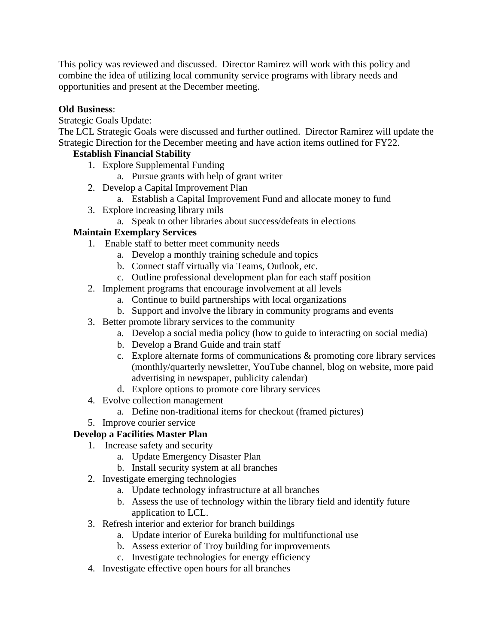This policy was reviewed and discussed. Director Ramirez will work with this policy and combine the idea of utilizing local community service programs with library needs and opportunities and present at the December meeting.

## **Old Business**:

## Strategic Goals Update:

The LCL Strategic Goals were discussed and further outlined. Director Ramirez will update the Strategic Direction for the December meeting and have action items outlined for FY22.

## **Establish Financial Stability**

- 1. Explore Supplemental Funding
	- a. Pursue grants with help of grant writer
- 2. Develop a Capital Improvement Plan
	- a. Establish a Capital Improvement Fund and allocate money to fund
- 3. Explore increasing library mils
	- a. Speak to other libraries about success/defeats in elections

# **Maintain Exemplary Services**

- 1. Enable staff to better meet community needs
	- a. Develop a monthly training schedule and topics
	- b. Connect staff virtually via Teams, Outlook, etc.
	- c. Outline professional development plan for each staff position
- 2. Implement programs that encourage involvement at all levels
	- a. Continue to build partnerships with local organizations
	- b. Support and involve the library in community programs and events
- 3. Better promote library services to the community
	- a. Develop a social media policy (how to guide to interacting on social media)
	- b. Develop a Brand Guide and train staff
	- c. Explore alternate forms of communications & promoting core library services (monthly/quarterly newsletter, YouTube channel, blog on website, more paid advertising in newspaper, publicity calendar)
	- d. Explore options to promote core library services
- 4. Evolve collection management
	- a. Define non-traditional items for checkout (framed pictures)
- 5. Improve courier service

# **Develop a Facilities Master Plan**

- 1. Increase safety and security
	- a. Update Emergency Disaster Plan
	- b. Install security system at all branches
- 2. Investigate emerging technologies
	- a. Update technology infrastructure at all branches
	- b. Assess the use of technology within the library field and identify future application to LCL.
- 3. Refresh interior and exterior for branch buildings
	- a. Update interior of Eureka building for multifunctional use
	- b. Assess exterior of Troy building for improvements
	- c. Investigate technologies for energy efficiency
- 4. Investigate effective open hours for all branches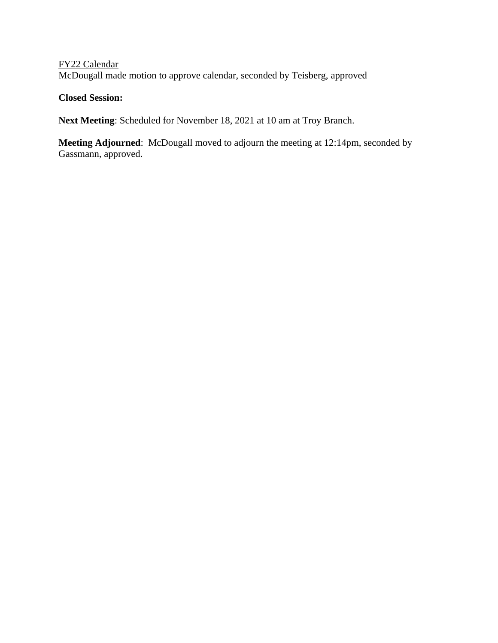# FY22 Calendar McDougall made motion to approve calendar, seconded by Teisberg, approved

# **Closed Session:**

**Next Meeting**: Scheduled for November 18, 2021 at 10 am at Troy Branch.

**Meeting Adjourned**: McDougall moved to adjourn the meeting at 12:14pm, seconded by Gassmann, approved.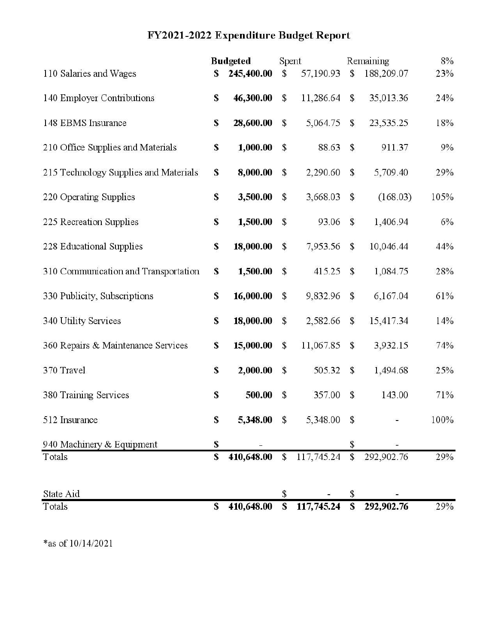# FY2021-2022 Expenditure Budget Report

|                                       |             | <b>Budgeted</b> | Spent         |             |               | Remaining  | 8%   |
|---------------------------------------|-------------|-----------------|---------------|-------------|---------------|------------|------|
| 110 Salaries and Wages                | S           | 245,400.00      | $\mathsf{\$}$ | 57,190.93   | \$            | 188,209.07 | 23%  |
| 140 Employer Contributions            | \$          | 46,300.00       | $\mathsf{\$}$ | 11,286.64   | \$            | 35,013.36  | 24%  |
| 148 EBMS Insurance                    | \$          | 28,600.00       | \$            | 5,064.75    | \$            | 23,535.25  | 18%  |
| 210 Office Supplies and Materials     | S           | 1,000.00        | $\mathsf{\$}$ | 88.63       | \$            | 911.37     | 9%   |
| 215 Technology Supplies and Materials | S           | 8,000.00        | \$            | 2,290.60    | \$            | 5,709.40   | 29%  |
| 220 Operating Supplies                | \$          | 3,500.00        | \$            | 3,668.03    | \$            | (168.03)   | 105% |
| 225 Recreation Supplies               | \$          | 1,500.00        | \$            | 93.06       | \$            | 1,406.94   | 6%   |
| 228 Educational Supplies              | \$          | 18,000.00       | $\mathsf{\$}$ | 7,953.56    | $\mathsf S$   | 10,046.44  | 44%  |
| 310 Communication and Transportation  | \$          | 1,500.00        | $\mathsf{\$}$ | 415.25      | $\mathsf{\$}$ | 1,084.75   | 28%  |
| 330 Publicity, Subscriptions          | \$          | 16,000.00       | $\mathsf{\$}$ | 9,832.96    | $\mathbb{S}$  | 6,167.04   | 61%  |
| 340 Utility Services                  | \$          | 18,000.00       | $\mathsf{\$}$ | 2,582.66    | \$            | 15,417.34  | 14%  |
| 360 Repairs & Maintenance Services    | \$          | 15,000.00       | $\mathsf{\$}$ | 11,067.85   | \$            | 3,932.15   | 74%  |
| 370 Travel                            | \$          | 2,000.00        | $\mathsf{\$}$ | 505.32      | \$            | 1,494.68   | 25%  |
| 380 Training Services                 | $\mathbf s$ | 500.00          | $\mathsf{\$}$ | 357.00      | \$            | 143.00     | 71%  |
| 512 Insurance                         | S           | 5,348.00 \$     |               | 5,348.00 \$ |               |            | 100% |
| 940 Machinery & Equipment             | \$          |                 |               |             | \$            |            |      |
| Totals                                | \$          | 410,648.00      | $\mathbb{S}$  | 117,745.24  | \$            | 292,902.76 | 29%  |
| State Aid                             |             |                 | \$            |             | \$            |            |      |
| Totals                                | S           | 410,648.00      | \$            | 117,745.24  | \$            | 292,902.76 | 29%  |

 $\!*$  as of 10/14/2021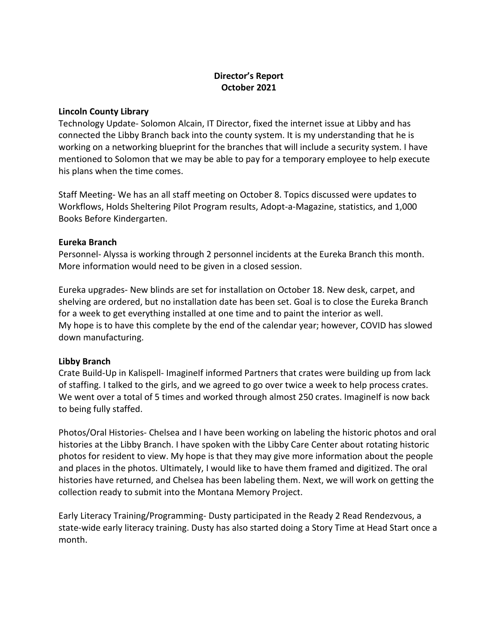#### **Director's Report October 2021**

#### **Lincoln County Library**

Technology Update- Solomon Alcain, IT Director, fixed the internet issue at Libby and has connected the Libby Branch back into the county system. It is my understanding that he is working on a networking blueprint for the branches that will include a security system. I have mentioned to Solomon that we may be able to pay for a temporary employee to help execute his plans when the time comes.

Staff Meeting- We has an all staff meeting on October 8. Topics discussed were updates to Workflows, Holds Sheltering Pilot Program results, Adopt-a-Magazine, statistics, and 1,000 Books Before Kindergarten.

#### **Eureka Branch**

Personnel- Alyssa is working through 2 personnel incidents at the Eureka Branch this month. More information would need to be given in a closed session.

Eureka upgrades- New blinds are set for installation on October 18. New desk, carpet, and shelving are ordered, but no installation date has been set. Goal is to close the Eureka Branch for a week to get everything installed at one time and to paint the interior as well. My hope is to have this complete by the end of the calendar year; however, COVID has slowed down manufacturing.

#### **Libby Branch**

Crate Build-Up in Kalispell- ImagineIf informed Partners that crates were building up from lack of staffing. I talked to the girls, and we agreed to go over twice a week to help process crates. We went over a total of 5 times and worked through almost 250 crates. Imaginelf is now back to being fully staffed.

Photos/Oral Histories- Chelsea and I have been working on labeling the historic photos and oral histories at the Libby Branch. I have spoken with the Libby Care Center about rotating historic photos for resident to view. My hope is that they may give more information about the people and places in the photos. Ultimately, I would like to have them framed and digitized. The oral histories have returned, and Chelsea has been labeling them. Next, we will work on getting the collection ready to submit into the Montana Memory Project.

Early Literacy Training/Programming- Dusty participated in the Ready 2 Read Rendezvous, a state-wide early literacy training. Dusty has also started doing a Story Time at Head Start once a month.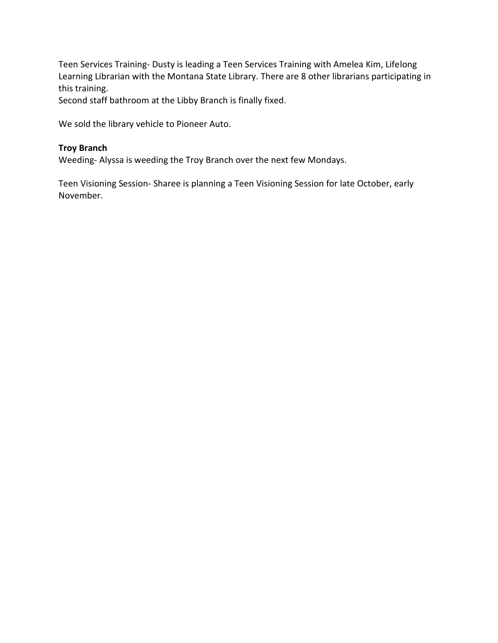Teen Services Training- Dusty is leading a Teen Services Training with Amelea Kim, Lifelong Learning Librarian with the Montana State Library. There are 8 other librarians participating in this training.

Second staff bathroom at the Libby Branch is finally fixed.

We sold the library vehicle to Pioneer Auto.

#### **Troy Branch**

Weeding- Alyssa is weeding the Troy Branch over the next few Mondays.

Teen Visioning Session- Sharee is planning a Teen Visioning Session for late October, early November.